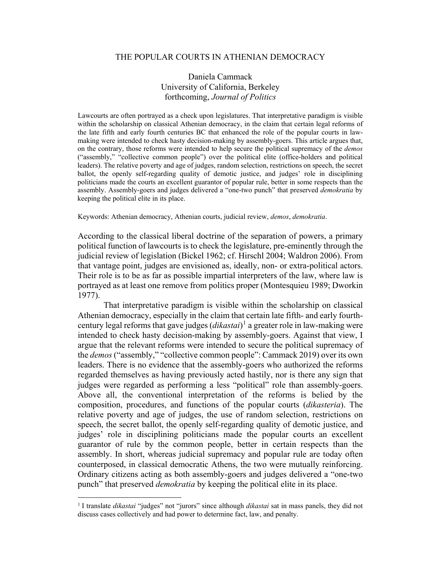## THE POPULAR COURTS IN ATHENIAN DEMOCRACY

# Daniela Cammack University of California, Berkeley forthcoming, *Journal of Politics*

Lawcourts are often portrayed as a check upon legislatures. That interpretative paradigm is visible within the scholarship on classical Athenian democracy, in the claim that certain legal reforms of the late fifth and early fourth centuries BC that enhanced the role of the popular courts in lawmaking were intended to check hasty decision-making by assembly-goers. This article argues that, on the contrary, those reforms were intended to help secure the political supremacy of the *demos* ("assembly," "collective common people") over the political elite (office-holders and political leaders). The relative poverty and age of judges, random selection, restrictions on speech, the secret ballot, the openly self-regarding quality of demotic justice, and judges' role in disciplining politicians made the courts an excellent guarantor of popular rule, better in some respects than the assembly. Assembly-goers and judges delivered a "one-two punch" that preserved *demokratia* by keeping the political elite in its place.

Keywords: Athenian democracy, Athenian courts, judicial review, *demos*, *demokratia*.

According to the classical liberal doctrine of the separation of powers, a primary political function of lawcourts is to check the legislature, pre-eminently through the judicial review of legislation (Bickel 1962; cf. Hirschl 2004; Waldron 2006). From that vantage point, judges are envisioned as, ideally, non- or extra-political actors. Their role is to be as far as possible impartial interpreters of the law, where law is portrayed as at least one remove from politics proper (Montesquieu 1989; Dworkin 1977).

That interpretative paradigm is visible within the scholarship on classical Athenian democracy, especially in the claim that certain late fifth- and early fourthcentury legal reforms that gave judges (*dikastai*) [1](#page-0-0) a greater role in law-making were intended to check hasty decision-making by assembly-goers. Against that view, I argue that the relevant reforms were intended to secure the political supremacy of the *demos* ("assembly," "collective common people": Cammack 2019) over its own leaders. There is no evidence that the assembly-goers who authorized the reforms regarded themselves as having previously acted hastily, nor is there any sign that judges were regarded as performing a less "political" role than assembly-goers. Above all, the conventional interpretation of the reforms is belied by the composition, procedures, and functions of the popular courts (*dikasteria*). The relative poverty and age of judges, the use of random selection, restrictions on speech, the secret ballot, the openly self-regarding quality of demotic justice, and judges' role in disciplining politicians made the popular courts an excellent guarantor of rule by the common people, better in certain respects than the assembly. In short, whereas judicial supremacy and popular rule are today often counterposed, in classical democratic Athens, the two were mutually reinforcing. Ordinary citizens acting as both assembly-goers and judges delivered a "one-two punch" that preserved *demokratia* by keeping the political elite in its place.

<span id="page-0-0"></span><sup>&</sup>lt;sup>1</sup> I translate *dikastai* "judges" not "jurors" since although *dikastai* sat in mass panels, they did not discuss cases collectively and had power to determine fact, law, and penalty.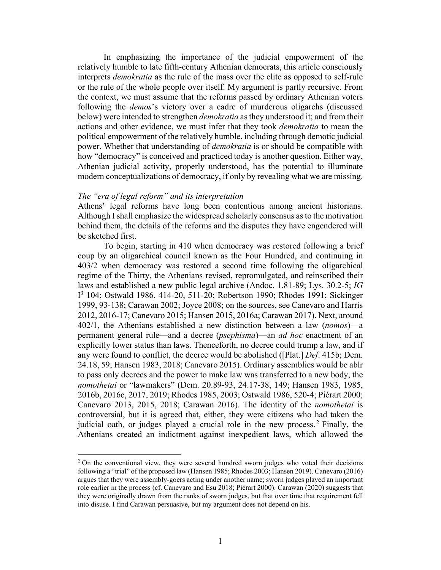In emphasizing the importance of the judicial empowerment of the relatively humble to late fifth-century Athenian democrats, this article consciously interprets *demokratia* as the rule of the mass over the elite as opposed to self-rule or the rule of the whole people over itself. My argument is partly recursive. From the context, we must assume that the reforms passed by ordinary Athenian voters following the *demos*'s victory over a cadre of murderous oligarchs (discussed below) were intended to strengthen *demokratia* as they understood it; and from their actions and other evidence, we must infer that they took *demokratia* to mean the political empowerment of the relatively humble, including through demotic judicial power. Whether that understanding of *demokratia* is or should be compatible with how "democracy" is conceived and practiced today is another question. Either way, Athenian judicial activity, properly understood, has the potential to illuminate modern conceptualizations of democracy, if only by revealing what we are missing.

#### *The "era of legal reform" and its interpretation*

 $\overline{a}$ 

Athens' legal reforms have long been contentious among ancient historians. Although I shall emphasize the widespread scholarly consensus as to the motivation behind them, the details of the reforms and the disputes they have engendered will be sketched first.

To begin, starting in 410 when democracy was restored following a brief coup by an oligarchical council known as the Four Hundred, and continuing in 403/2 when democracy was restored a second time following the oligarchical regime of the Thirty, the Athenians revised, repromulgated, and reinscribed their laws and established a new public legal archive (Andoc. 1.81-89; Lys. 30.2-5; *IG* I 3 104; Ostwald 1986, 414-20, 511-20; Robertson 1990; Rhodes 1991; Sickinger 1999, 93-138; Carawan 2002; Joyce 2008; on the sources, see Canevaro and Harris 2012, 2016-17; Canevaro 2015; Hansen 2015, 2016a; Carawan 2017). Next, around 402/1, the Athenians established a new distinction between a law (*nomos*)—a permanent general rule—and a decree (*psephisma*)—an *ad hoc* enactment of an explicitly lower status than laws. Thenceforth, no decree could trump a law, and if any were found to conflict, the decree would be abolished ([Plat.] *Def*. 415b; Dem. 24.18, 59; Hansen 1983, 2018; Canevaro 2015). Ordinary assemblies would be ablr to pass only decrees and the power to make law was transferred to a new body, the *nomothetai* or "lawmakers" (Dem. 20.89-93, 24.17-38, 149; Hansen 1983, 1985, 2016b, 2016c, 2017, 2019; Rhodes 1985, 2003; Ostwald 1986, 520-4; Piérart 2000; Canevaro 2013, 2015, 2018; Carawan 2016). The identity of the *nomothetai* is controversial, but it is agreed that, either, they were citizens who had taken the judicial oath, or judges played a crucial role in the new process.<sup>[2](#page-1-0)</sup> Finally, the Athenians created an indictment against inexpedient laws, which allowed the

<span id="page-1-0"></span><sup>&</sup>lt;sup>2</sup> On the conventional view, they were several hundred sworn judges who voted their decisions following a "trial" of the proposed law (Hansen 1985; Rhodes 2003; Hansen 2019). Canevaro (2016) argues that they were assembly-goers acting under another name; sworn judges played an important role earlier in the process (cf. Canevaro and Esu 2018; Piérart 2000). Carawan (2020) suggests that they were originally drawn from the ranks of sworn judges, but that over time that requirement fell into disuse. I find Carawan persuasive, but my argument does not depend on his.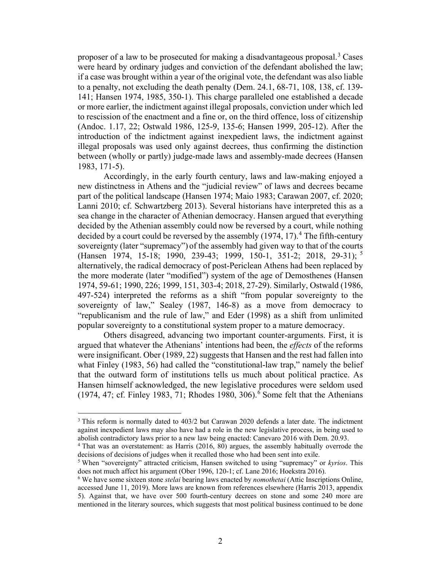proposer of a law to be prosecuted for making a disadvantageous proposal.<sup>[3](#page-2-0)</sup> Cases were heard by ordinary judges and conviction of the defendant abolished the law; if a case was brought within a year of the original vote, the defendant was also liable to a penalty, not excluding the death penalty (Dem. 24.1, 68-71, 108, 138, cf. 139- 141; Hansen 1974, 1985, 350-1). This charge paralleled one established a decade or more earlier, the indictment against illegal proposals, conviction under which led to rescission of the enactment and a fine or, on the third offence, loss of citizenship (Andoc. 1.17, 22; Ostwald 1986, 125-9, 135-6; Hansen 1999, 205-12). After the introduction of the indictment against inexpedient laws, the indictment against illegal proposals was used only against decrees, thus confirming the distinction between (wholly or partly) judge-made laws and assembly-made decrees (Hansen 1983, 171-5).

Accordingly, in the early fourth century, laws and law-making enjoyed a new distinctness in Athens and the "judicial review" of laws and decrees became part of the political landscape (Hansen 1974; Maio 1983; Carawan 2007, cf. 2020; Lanni 2010; cf. Schwartzberg 2013). Several historians have interpreted this as a sea change in the character of Athenian democracy. Hansen argued that everything decided by the Athenian assembly could now be reversed by a court, while nothing decided by a court could be reversed by the assembly (1974, 17). [4](#page-2-1) The fifth-century sovereignty (later "supremacy") of the assembly had given way to that of the courts (Hansen 1974, 15-18; 1990, 239-43; 1999, 150-1, 351-2; 2018, 29-31); [5](#page-2-2) alternatively, the radical democracy of post-Periclean Athens had been replaced by the more moderate (later "modified") system of the age of Demosthenes (Hansen 1974, 59-61; 1990, 226; 1999, 151, 303-4; 2018, 27-29). Similarly, Ostwald (1986, 497-524) interpreted the reforms as a shift "from popular sovereignty to the sovereignty of law," Sealey (1987, 146-8) as a move from democracy to "republicanism and the rule of law," and Eder (1998) as a shift from unlimited popular sovereignty to a constitutional system proper to a mature democracy.

Others disagreed, advancing two important counter-arguments. First, it is argued that whatever the Athenians' intentions had been, the *effects* of the reforms were insignificant. Ober (1989, 22) suggests that Hansen and the rest had fallen into what Finley (1983, 56) had called the "constitutional-law trap," namely the belief that the outward form of institutions tells us much about political practice. As Hansen himself acknowledged, the new legislative procedures were seldom used  $(1974, 47; \text{cf. Finley } 1983, 71; \text{ Rhodes } 1980, 306).$  $(1974, 47; \text{cf. Finley } 1983, 71; \text{ Rhodes } 1980, 306).$  $(1974, 47; \text{cf. Finley } 1983, 71; \text{ Rhodes } 1980, 306).$ <sup>6</sup> Some felt that the Athenians

<span id="page-2-0"></span> $3$  This reform is normally dated to 403/2 but Carawan 2020 defends a later date. The indictment against inexpedient laws may also have had a role in the new legislative process, in being used to abolish contradictory laws prior to a new law being enacted: Canevaro 2016 with Dem. 20.93.

<span id="page-2-1"></span><sup>4</sup> That was an overstatement: as Harris (2016, 80) argues, the assembly habitually overrode the decisions of decisions of judges when it recalled those who had been sent into exile.

<span id="page-2-2"></span><sup>&</sup>lt;sup>5</sup> When "sovereignty" attracted criticism, Hansen switched to using "supremacy" or *kyrios*. This does not much affect his argument (Ober 1996, 120-1; cf. Lane 2016; Hoekstra 2016).

<span id="page-2-3"></span><sup>&</sup>lt;sup>6</sup> We have some sixteen stone *stelai* bearing laws enacted by *nomothetai* (Attic Inscriptions Online, accessed June 11, 2019). More laws are known from references elsewhere (Harris 2013, appendix 5). Against that, we have over 500 fourth-century decrees on stone and some 240 more are mentioned in the literary sources, which suggests that most political business continued to be done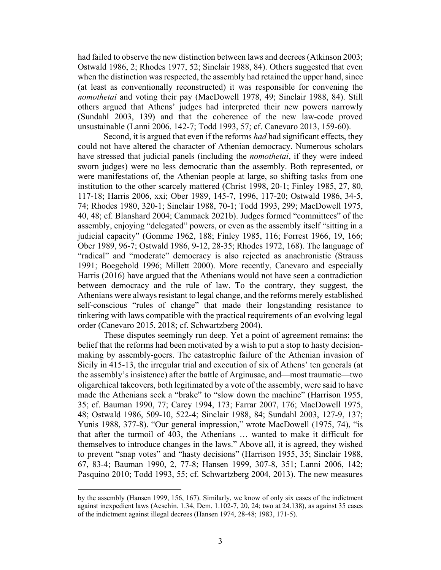had failed to observe the new distinction between laws and decrees (Atkinson 2003; Ostwald 1986, 2; Rhodes 1977, 52; Sinclair 1988, 84). Others suggested that even when the distinction was respected, the assembly had retained the upper hand, since (at least as conventionally reconstructed) it was responsible for convening the *nomothetai* and voting their pay (MacDowell 1978, 49; Sinclair 1988, 84). Still others argued that Athens' judges had interpreted their new powers narrowly (Sundahl 2003, 139) and that the coherence of the new law-code proved unsustainable (Lanni 2006, 142-7; Todd 1993, 57; cf. Canevaro 2013, 159-60).

Second, it is argued that even if the reforms *had* had significant effects, they could not have altered the character of Athenian democracy. Numerous scholars have stressed that judicial panels (including the *nomothetai*, if they were indeed sworn judges) were no less democratic than the assembly. Both represented, or were manifestations of, the Athenian people at large, so shifting tasks from one institution to the other scarcely mattered (Christ 1998, 20-1; Finley 1985, 27, 80, 117-18; Harris 2006, xxi; Ober 1989, 145-7, 1996, 117-20; Ostwald 1986, 34-5, 74; Rhodes 1980, 320-1; Sinclair 1988, 70-1; Todd 1993, 299; MacDowell 1975, 40, 48; cf. Blanshard 2004; Cammack 2021b). Judges formed "committees" of the assembly, enjoying "delegated" powers, or even as the assembly itself "sitting in a judicial capacity" (Gomme 1962, 188; Finley 1985, 116; Forrest 1966, 19, 166; Ober 1989, 96-7; Ostwald 1986, 9-12, 28-35; Rhodes 1972, 168). The language of "radical" and "moderate" democracy is also rejected as anachronistic (Strauss 1991; Boegehold 1996; Millett 2000). More recently, Canevaro and especially Harris (2016) have argued that the Athenians would not have seen a contradiction between democracy and the rule of law. To the contrary, they suggest, the Athenians were always resistant to legal change, and the reforms merely established self-conscious "rules of change" that made their longstanding resistance to tinkering with laws compatible with the practical requirements of an evolving legal order (Canevaro 2015, 2018; cf. Schwartzberg 2004).

These disputes seemingly run deep. Yet a point of agreement remains: the belief that the reforms had been motivated by a wish to put a stop to hasty decisionmaking by assembly-goers. The catastrophic failure of the Athenian invasion of Sicily in 415-13, the irregular trial and execution of six of Athens' ten generals (at the assembly's insistence) after the battle of Arginusae, and—most traumatic—two oligarchical takeovers, both legitimated by a vote of the assembly, were said to have made the Athenians seek a "brake" to "slow down the machine" (Harrison 1955, 35; cf. Bauman 1990, 77; Carey 1994, 173; Farrar 2007, 176; MacDowell 1975, 48; Ostwald 1986, 509-10, 522-4; Sinclair 1988, 84; Sundahl 2003, 127-9, 137; Yunis 1988, 377-8). "Our general impression," wrote MacDowell (1975, 74), "is that after the turmoil of 403, the Athenians … wanted to make it difficult for themselves to introduce changes in the laws." Above all, it is agreed, they wished to prevent "snap votes" and "hasty decisions" (Harrison 1955, 35; Sinclair 1988, 67, 83-4; Bauman 1990, 2, 77-8; Hansen 1999, 307-8, 351; Lanni 2006, 142; Pasquino 2010; Todd 1993, 55; cf. Schwartzberg 2004, 2013). The new measures

by the assembly (Hansen 1999, 156, 167). Similarly, we know of only six cases of the indictment against inexpedient laws (Aeschin. 1.34, Dem. 1.102-7, 20, 24; two at 24.138), as against 35 cases of the indictment against illegal decrees (Hansen 1974, 28-48; 1983, 171-5).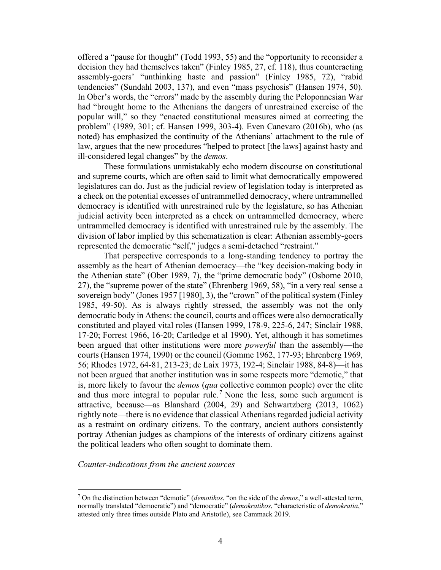offered a "pause for thought" (Todd 1993, 55) and the "opportunity to reconsider a decision they had themselves taken" (Finley 1985, 27, cf. 118), thus counteracting assembly-goers' "unthinking haste and passion" (Finley 1985, 72), "rabid tendencies" (Sundahl 2003, 137), and even "mass psychosis" (Hansen 1974, 50). In Ober's words, the "errors" made by the assembly during the Peloponnesian War had "brought home to the Athenians the dangers of unrestrained exercise of the popular will," so they "enacted constitutional measures aimed at correcting the problem" (1989, 301; cf. Hansen 1999, 303-4). Even Canevaro (2016b), who (as noted) has emphasized the continuity of the Athenians' attachment to the rule of law, argues that the new procedures "helped to protect [the laws] against hasty and ill-considered legal changes" by the *demos*.

These formulations unmistakably echo modern discourse on constitutional and supreme courts, which are often said to limit what democratically empowered legislatures can do. Just as the judicial review of legislation today is interpreted as a check on the potential excesses of untrammelled democracy, where untrammelled democracy is identified with unrestrained rule by the legislature, so has Athenian judicial activity been interpreted as a check on untrammelled democracy, where untrammelled democracy is identified with unrestrained rule by the assembly. The division of labor implied by this schematization is clear: Athenian assembly-goers represented the democratic "self," judges a semi-detached "restraint."

That perspective corresponds to a long-standing tendency to portray the assembly as the heart of Athenian democracy—the "key decision-making body in the Athenian state" (Ober 1989, 7), the "prime democratic body" (Osborne 2010, 27), the "supreme power of the state" (Ehrenberg 1969, 58), "in a very real sense a sovereign body" (Jones 1957 [1980], 3), the "crown" of the political system (Finley 1985, 49-50). As is always rightly stressed, the assembly was not the only democratic body in Athens: the council, courts and offices were also democratically constituted and played vital roles (Hansen 1999, 178-9, 225-6, 247; Sinclair 1988, 17-20; Forrest 1966, 16-20; Cartledge et al 1990). Yet, although it has sometimes been argued that other institutions were more *powerful* than the assembly—the courts (Hansen 1974, 1990) or the council (Gomme 1962, 177-93; Ehrenberg 1969, 56; Rhodes 1972, 64-81, 213-23; de Laix 1973, 192-4; Sinclair 1988, 84-8)—it has not been argued that another institution was in some respects more "demotic," that is, more likely to favour the *demos* (*qua* collective common people) over the elite and thus more integral to popular rule.<sup>[7](#page-4-0)</sup> None the less, some such argument is attractive, because—as Blanshard (2004, 29) and Schwartzberg (2013, 1062) rightly note—there is no evidence that classical Athenians regarded judicial activity as a restraint on ordinary citizens. To the contrary, ancient authors consistently portray Athenian judges as champions of the interests of ordinary citizens against the political leaders who often sought to dominate them.

## *Counter-indications from the ancient sources*

<span id="page-4-0"></span><sup>7</sup> On the distinction between "demotic" (*demotikos*, "on the side of the *demos*," a well-attested term, normally translated "democratic") and "democratic" (*demokratikos*, "characteristic of *demokratia*," attested only three times outside Plato and Aristotle), see Cammack 2019.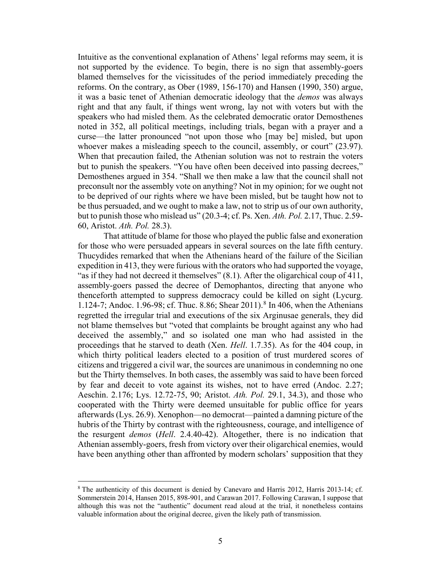Intuitive as the conventional explanation of Athens' legal reforms may seem, it is not supported by the evidence. To begin, there is no sign that assembly-goers blamed themselves for the vicissitudes of the period immediately preceding the reforms. On the contrary, as Ober (1989, 156-170) and Hansen (1990, 350) argue, it was a basic tenet of Athenian democratic ideology that the *demos* was always right and that any fault, if things went wrong, lay not with voters but with the speakers who had misled them. As the celebrated democratic orator Demosthenes noted in 352, all political meetings, including trials, began with a prayer and a curse—the latter pronounced "not upon those who [may be] misled, but upon whoever makes a misleading speech to the council, assembly, or court" (23.97). When that precaution failed, the Athenian solution was not to restrain the voters but to punish the speakers. "You have often been deceived into passing decrees," Demosthenes argued in 354. "Shall we then make a law that the council shall not preconsult nor the assembly vote on anything? Not in my opinion; for we ought not to be deprived of our rights where we have been misled, but be taught how not to be thus persuaded, and we ought to make a law, not to strip us of our own authority, but to punish those who mislead us" (20.3-4; cf. Ps. Xen. *Ath. Pol.* 2.17, Thuc. 2.59- 60, Aristot. *Ath. Pol.* 28.3).

That attitude of blame for those who played the public false and exoneration for those who were persuaded appears in several sources on the late fifth century. Thucydides remarked that when the Athenians heard of the failure of the Sicilian expedition in 413, they were furious with the orators who had supported the voyage, "as if they had not decreed it themselves" (8.1). After the oligarchical coup of 411, assembly-goers passed the decree of Demophantos, directing that anyone who thenceforth attempted to suppress democracy could be killed on sight (Lycurg. 1.124-7; Andoc. 1.96-9[8](#page-5-0); cf. Thuc. 8.86; Shear 2011).<sup>8</sup> In 406, when the Athenians regretted the irregular trial and executions of the six Arginusae generals, they did not blame themselves but "voted that complaints be brought against any who had deceived the assembly," and so isolated one man who had assisted in the proceedings that he starved to death (Xen. *Hell*. 1.7.35). As for the 404 coup, in which thirty political leaders elected to a position of trust murdered scores of citizens and triggered a civil war, the sources are unanimous in condemning no one but the Thirty themselves. In both cases, the assembly was said to have been forced by fear and deceit to vote against its wishes, not to have erred (Andoc. 2.27; Aeschin. 2.176; Lys. 12.72-75, 90; Aristot. *Ath. Pol.* 29.1, 34.3), and those who cooperated with the Thirty were deemed unsuitable for public office for years afterwards (Lys. 26.9). Xenophon—no democrat—painted a damning picture of the hubris of the Thirty by contrast with the righteousness, courage, and intelligence of the resurgent *demos* (*Hell*. 2.4.40-42). Altogether, there is no indication that Athenian assembly-goers, fresh from victory over their oligarchical enemies, would have been anything other than affronted by modern scholars' supposition that they

<span id="page-5-0"></span><sup>&</sup>lt;sup>8</sup> The authenticity of this document is denied by Canevaro and Harris 2012, Harris 2013-14; cf. Sommerstein 2014, Hansen 2015, 898-901, and Carawan 2017. Following Carawan, I suppose that although this was not the "authentic" document read aloud at the trial, it nonetheless contains valuable information about the original decree, given the likely path of transmission.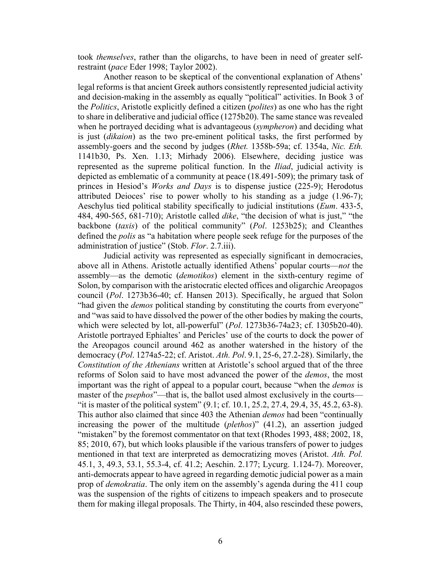took *themselves*, rather than the oligarchs, to have been in need of greater selfrestraint (*pace* Eder 1998; Taylor 2002).

Another reason to be skeptical of the conventional explanation of Athens' legal reforms is that ancient Greek authors consistently represented judicial activity and decision-making in the assembly as equally "political" activities. In Book 3 of the *Politics*, Aristotle explicitly defined a citizen (*polites*) as one who has the right to share in deliberative and judicial office (1275b20). The same stance was revealed when he portrayed deciding what is advantageous (*sympheron*) and deciding what is just (*dikaion*) as the two pre-eminent political tasks, the first performed by assembly-goers and the second by judges (*Rhet.* 1358b-59a; cf. 1354a, *Nic. Eth.* 1141b30, Ps. Xen. 1.13; Mirhady 2006). Elsewhere, deciding justice was represented as the supreme political function. In the *Iliad*, judicial activity is depicted as emblematic of a community at peace (18.491-509); the primary task of princes in Hesiod's *Works and Days* is to dispense justice (225-9); Herodotus attributed Deioces' rise to power wholly to his standing as a judge (1.96-7); Aeschylus tied political stability specifically to judicial institutions (*Eum*. 433-5, 484, 490-565, 681-710); Aristotle called *dike*, "the decision of what is just," "the backbone (*taxis*) of the political community" (*Pol*. 1253b25); and Cleanthes defined the *polis* as "a habitation where people seek refuge for the purposes of the administration of justice" (Stob. *Flor*. 2.7.iii).

Judicial activity was represented as especially significant in democracies, above all in Athens. Aristotle actually identified Athens' popular courts—*not* the assembly—as the demotic (*demotikos*) element in the sixth-century regime of Solon, by comparison with the aristocratic elected offices and oligarchic Areopagos council (*Pol*. 1273b36-40; cf. Hansen 2013). Specifically, he argued that Solon "had given the *demos* political standing by constituting the courts from everyone" and "was said to have dissolved the power of the other bodies by making the courts, which were selected by lot, all-powerful" (*Pol*. 1273b36-74a23; cf. 1305b20-40). Aristotle portrayed Ephialtes' and Pericles' use of the courts to dock the power of the Areopagos council around 462 as another watershed in the history of the democracy (*Pol*. 1274a5-22; cf. Aristot. *Ath. Pol*. 9.1, 25-6, 27.2-28). Similarly, the *Constitution of the Athenians* written at Aristotle's school argued that of the three reforms of Solon said to have most advanced the power of the *demos*, the most important was the right of appeal to a popular court, because "when the *demos* is master of the *psephos*"—that is, the ballot used almost exclusively in the courts— "it is master of the political system" (9.1; cf. 10.1, 25.2, 27.4, 29.4, 35, 45.2, 63-8). This author also claimed that since 403 the Athenian *demos* had been "continually increasing the power of the multitude (*plethos*)" (41.2), an assertion judged "mistaken" by the foremost commentator on that text (Rhodes 1993, 488; 2002, 18, 85; 2010, 67), but which looks plausible if the various transfers of power to judges mentioned in that text are interpreted as democratizing moves (Aristot. *Ath. Pol.* 45.1, 3, 49.3, 53.1, 55.3-4, cf. 41.2; Aeschin. 2.177; Lycurg. 1.124-7). Moreover, anti-democrats appear to have agreed in regarding demotic judicial power as a main prop of *demokratia*. The only item on the assembly's agenda during the 411 coup was the suspension of the rights of citizens to impeach speakers and to prosecute them for making illegal proposals. The Thirty, in 404, also rescinded these powers,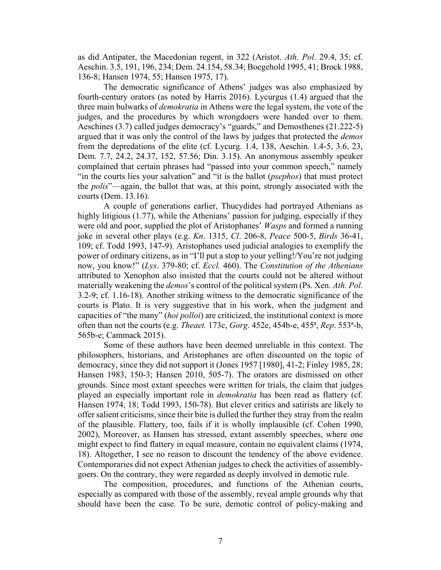as did Antipater, the Macedonian regent, in 322 (Aristot. *Ath. Pol*. 29.4, 35; cf. Aeschin. 3.5, 191, 196, 234; Dem. 24.154, 58.34; Boegehold 1995, 41; Brock 1988, 136-8; Hansen 1974, 55; Hansen 1975, 17).

The democratic significance of Athens' judges was also emphasized by fourth-century orators (as noted by Harris 2016). Lycurgus (1.4) argued that the three main bulwarks of *demokratia* in Athens were the legal system, the vote of the judges, and the procedures by which wrongdoers were handed over to them. Aeschines (3.7) called judges democracy's "guards," and Demosthenes (21.222-5) argued that it was only the control of the laws by judges that protected the *demos* from the depredations of the elite (cf. Lycurg. 1.4, 138, Aeschin. 1.4-5, 3.6, 23, Dem. 7.7, 24.2, 24.37, 152, 57.56; Din. 3.15). An anonymous assembly speaker complained that certain phrases had "passed into your common speech," namely "in the courts lies your salvation" and "it is the ballot (*psephos*) that must protect the *polis*"—again, the ballot that was, at this point, strongly associated with the courts (Dem. 13.16).

A couple of generations earlier, Thucydides had portrayed Athenians as highly litigious (1.77), while the Athenians' passion for judging, especially if they were old and poor, supplied the plot of Aristophanes' *Wasps* and formed a running joke in several other plays (e.g. *Kn*. 1315, *Cl*. 206-8, *Peace* 500-5, *Birds* 36-41, 109; cf. Todd 1993, 147-9). Aristophanes used judicial analogies to exemplify the power of ordinary citizens, as in "I'll put a stop to your yelling!/You're not judging now, you know!" (*Lys*. 379-80; cf. *Eccl.* 460). The *Constitution of the Athenians* attributed to Xenophon also insisted that the courts could not be altered without materially weakening the *demos*'s control of the political system (Ps. Xen. *Ath. Pol*. 3.2-9; cf. 1.16-18). Another striking witness to the democratic significance of the courts is Plato. It is very suggestive that in his work, when the judgment and capacities of "the many" (*hoi polloi*) are criticized, the institutional context is more often than not the courts (e.g. *Theaet.* 173c, *Gorg*. 452e, 454b-e, 455ª, *Rep*. 553ª-b, 565b-e; Cammack 2015).

Some of these authors have been deemed unreliable in this context. The philosophers, historians, and Aristophanes are often discounted on the topic of democracy, since they did not support it (Jones 1957 [1980], 41-2; Finley 1985, 28; Hansen 1983, 150-3; Hansen 2010, 505-7). The orators are dismissed on other grounds. Since most extant speeches were written for trials, the claim that judges played an especially important role in *demokratia* has been read as flattery (cf. Hansen 1974, 18; Todd 1993, 150-78). But clever critics and satirists are likely to offer salient criticisms, since their bite is dulled the further they stray from the realm of the plausible. Flattery, too, fails if it is wholly implausible (cf. Cohen 1990, 2002), Moreover, as Hansen has stressed, extant assembly speeches, where one might expect to find flattery in equal measure, contain no equivalent claims (1974, 18). Altogether, I see no reason to discount the tendency of the above evidence. Contemporaries did not expect Athenian judges to check the activities of assemblygoers. On the contrary, they were regarded as deeply involved in demotic rule.

The composition, procedures, and functions of the Athenian courts, especially as compared with those of the assembly, reveal ample grounds why that should have been the case. To be sure, demotic control of policy-making and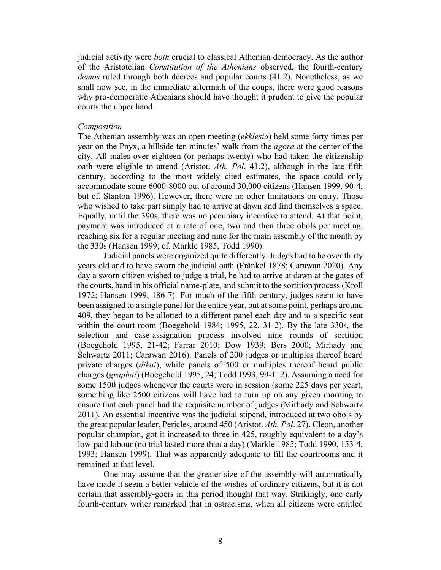judicial activity were *both* crucial to classical Athenian democracy. As the author of the Aristotelian *Constitution of the Athenians* observed, the fourth-century *demos* ruled through both decrees and popular courts (41.2). Nonetheless, as we shall now see, in the immediate aftermath of the coups, there were good reasons why pro-democratic Athenians should have thought it prudent to give the popular courts the upper hand.

#### *Composition*

The Athenian assembly was an open meeting (*ekklesia*) held some forty times per year on the Pnyx, a hillside ten minutes' walk from the *agora* at the center of the city. All males over eighteen (or perhaps twenty) who had taken the citizenship oath were eligible to attend (Aristot. *Ath. Pol*. 41.2), although in the late fifth century, according to the most widely cited estimates, the space could only accommodate some 6000-8000 out of around 30,000 citizens (Hansen 1999, 90-4, but cf. Stanton 1996). However, there were no other limitations on entry. Those who wished to take part simply had to arrive at dawn and find themselves a space. Equally, until the 390s, there was no pecuniary incentive to attend. At that point, payment was introduced at a rate of one, two and then three obols per meeting, reaching six for a regular meeting and nine for the main assembly of the month by the 330s (Hansen 1999; cf. Markle 1985, Todd 1990).

Judicial panels were organized quite differently. Judges had to be over thirty years old and to have sworn the judicial oath (Fränkel 1878; Carawan 2020). Any day a sworn citizen wished to judge a trial, he had to arrive at dawn at the gates of the courts, hand in his official name-plate, and submit to the sortition process (Kroll 1972; Hansen 1999, 186-7). For much of the fifth century, judges seem to have been assigned to a single panel for the entire year, but at some point, perhaps around 409, they began to be allotted to a different panel each day and to a specific seat within the court-room (Boegehold 1984; 1995, 22, 31-2). By the late 330s, the selection and case-assignation process involved nine rounds of sortition (Boegehold 1995, 21-42; Farrar 2010; Dow 1939; Bers 2000; Mirhady and Schwartz 2011; Carawan 2016). Panels of 200 judges or multiples thereof heard private charges (*dikai*), while panels of 500 or multiples thereof heard public charges (*graphai*) (Boegehold 1995, 24; Todd 1993, 99-112). Assuming a need for some 1500 judges whenever the courts were in session (some 225 days per year), something like 2500 citizens will have had to turn up on any given morning to ensure that each panel had the requisite number of judges (Mirhady and Schwartz 2011). An essential incentive was the judicial stipend, introduced at two obols by the great popular leader, Pericles, around 450 (Aristot. *Ath. Pol*. 27). Cleon, another popular champion, got it increased to three in 425, roughly equivalent to a day's low-paid labour (no trial lasted more than a day) (Markle 1985; Todd 1990, 153-4, 1993; Hansen 1999). That was apparently adequate to fill the courtrooms and it remained at that level.

One may assume that the greater size of the assembly will automatically have made it seem a better vehicle of the wishes of ordinary citizens, but it is not certain that assembly-goers in this period thought that way. Strikingly, one early fourth-century writer remarked that in ostracisms, when all citizens were entitled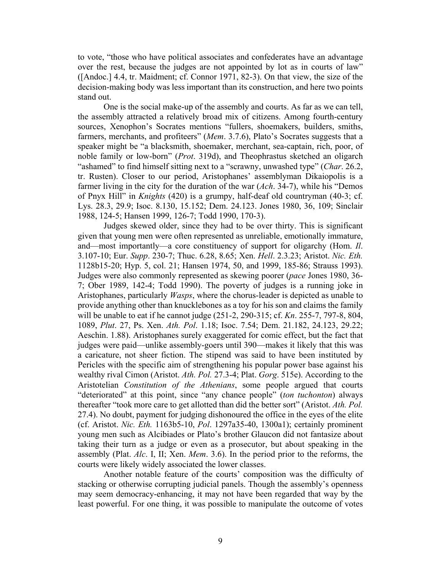to vote, "those who have political associates and confederates have an advantage over the rest, because the judges are not appointed by lot as in courts of law" ([Andoc.] 4.4, tr. Maidment; cf. Connor 1971, 82-3). On that view, the size of the decision-making body was less important than its construction, and here two points stand out.

One is the social make-up of the assembly and courts. As far as we can tell, the assembly attracted a relatively broad mix of citizens. Among fourth-century sources, Xenophon's Socrates mentions "fullers, shoemakers, builders, smiths, farmers, merchants, and profiteers" (*Mem*. 3.7.6), Plato's Socrates suggests that a speaker might be "a blacksmith, shoemaker, merchant, sea-captain, rich, poor, of noble family or low-born" (*Prot*. 319d), and Theophrastus sketched an oligarch "ashamed" to find himself sitting next to a "scrawny, unwashed type" (*Char*. 26.2, tr. Rusten). Closer to our period, Aristophanes' assemblyman Dikaiopolis is a farmer living in the city for the duration of the war (*Ach*. 34-7), while his "Demos of Pnyx Hill" in *Knights* (420) is a grumpy, half-deaf old countryman (40-3; cf. Lys. 28.3, 29.9; Isoc. 8.130, 15.152; Dem. 24.123. Jones 1980, 36, 109; Sinclair 1988, 124-5; Hansen 1999, 126-7; Todd 1990, 170-3).

Judges skewed older, since they had to be over thirty. This is significant given that young men were often represented as unreliable, emotionally immature, and—most importantly—a core constituency of support for oligarchy (Hom. *Il*. 3.107-10; Eur. *Supp*. 230-7; Thuc. 6.28, 8.65; Xen. *Hell*. 2.3.23; Aristot. *Nic. Eth.* 1128b15-20; Hyp. 5, col. 21; Hansen 1974, 50, and 1999, 185-86; Strauss 1993). Judges were also commonly represented as skewing poorer (*pace* Jones 1980, 36- 7; Ober 1989, 142-4; Todd 1990). The poverty of judges is a running joke in Aristophanes, particularly *Wasps*, where the chorus-leader is depicted as unable to provide anything other than knucklebones as a toy for his son and claims the family will be unable to eat if he cannot judge (251-2, 290-315; cf. *Kn*. 255-7, 797-8, 804, 1089, *Plut*. 27, Ps. Xen. *Ath. Pol*. 1.18; Isoc. 7.54; Dem. 21.182, 24.123, 29.22; Aeschin. 1.88). Aristophanes surely exaggerated for comic effect, but the fact that judges were paid—unlike assembly-goers until 390—makes it likely that this was a caricature, not sheer fiction. The stipend was said to have been instituted by Pericles with the specific aim of strengthening his popular power base against his wealthy rival Cimon (Aristot. *Ath. Pol.* 27.3-4; Plat. *Gorg*. 515e). According to the Aristotelian *Constitution of the Athenians*, some people argued that courts "deteriorated" at this point, since "any chance people" (*ton tuchonton*) always thereafter "took more care to get allotted than did the better sort" (Aristot. *Ath. Pol.* 27.4). No doubt, payment for judging dishonoured the office in the eyes of the elite (cf. Aristot. *Nic. Eth.* 1163b5-10, *Pol*. 1297a35-40, 1300a1); certainly prominent young men such as Alcibiades or Plato's brother Glaucon did not fantasize about taking their turn as a judge or even as a prosecutor, but about speaking in the assembly (Plat. *Alc*. I, II; Xen. *Mem*. 3.6). In the period prior to the reforms, the courts were likely widely associated the lower classes.

Another notable feature of the courts' composition was the difficulty of stacking or otherwise corrupting judicial panels. Though the assembly's openness may seem democracy-enhancing, it may not have been regarded that way by the least powerful. For one thing, it was possible to manipulate the outcome of votes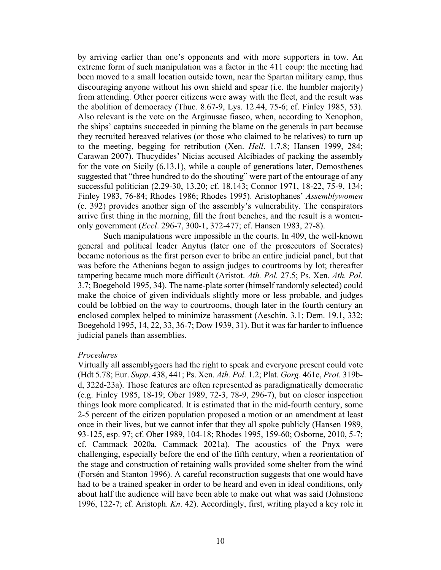by arriving earlier than one's opponents and with more supporters in tow. An extreme form of such manipulation was a factor in the 411 coup: the meeting had been moved to a small location outside town, near the Spartan military camp, thus discouraging anyone without his own shield and spear (i.e. the humbler majority) from attending. Other poorer citizens were away with the fleet, and the result was the abolition of democracy (Thuc. 8.67-9, Lys. 12.44, 75-6; cf. Finley 1985, 53). Also relevant is the vote on the Arginusae fiasco, when, according to Xenophon, the ships' captains succeeded in pinning the blame on the generals in part because they recruited bereaved relatives (or those who claimed to be relatives) to turn up to the meeting, begging for retribution (Xen. *Hell*. 1.7.8; Hansen 1999, 284; Carawan 2007). Thucydides' Nicias accused Alcibiades of packing the assembly for the vote on Sicily (6.13.1), while a couple of generations later, Demosthenes suggested that "three hundred to do the shouting" were part of the entourage of any successful politician (2.29-30, 13.20; cf. 18.143; Connor 1971, 18-22, 75-9, 134; Finley 1983, 76-84; Rhodes 1986; Rhodes 1995). Aristophanes' *Assemblywomen* (c. 392) provides another sign of the assembly's vulnerability. The conspirators arrive first thing in the morning, fill the front benches, and the result is a womenonly government (*Eccl*. 296-7, 300-1, 372-477; cf. Hansen 1983, 27-8).

Such manipulations were impossible in the courts. In 409, the well-known general and political leader Anytus (later one of the prosecutors of Socrates) became notorious as the first person ever to bribe an entire judicial panel, but that was before the Athenians began to assign judges to courtrooms by lot; thereafter tampering became much more difficult (Aristot. *Ath. Pol.* 27.5; Ps. Xen. *Ath. Pol.* 3.7; Boegehold 1995, 34). The name-plate sorter (himself randomly selected) could make the choice of given individuals slightly more or less probable, and judges could be lobbied on the way to courtrooms, though later in the fourth century an enclosed complex helped to minimize harassment (Aeschin. 3.1; Dem. 19.1, 332; Boegehold 1995, 14, 22, 33, 36-7; Dow 1939, 31). But it was far harder to influence judicial panels than assemblies.

#### *Procedures*

Virtually all assemblygoers had the right to speak and everyone present could vote (Hdt 5.78; Eur. *Supp*. 438, 441; Ps. Xen. *Ath. Pol.* 1.2; Plat. *Gorg*. 461e, *Prot*. 319bd, 322d-23a). Those features are often represented as paradigmatically democratic (e.g. Finley 1985, 18-19; Ober 1989, 72-3, 78-9, 296-7), but on closer inspection things look more complicated. It is estimated that in the mid-fourth century, some 2-5 percent of the citizen population proposed a motion or an amendment at least once in their lives, but we cannot infer that they all spoke publicly (Hansen 1989, 93-125, esp. 97; cf. Ober 1989, 104-18; Rhodes 1995, 159-60; Osborne, 2010, 5-7; cf. Cammack 2020a, Cammack 2021a). The acoustics of the Pnyx were challenging, especially before the end of the fifth century, when a reorientation of the stage and construction of retaining walls provided some shelter from the wind (Forsén and Stanton 1996). A careful reconstruction suggests that one would have had to be a trained speaker in order to be heard and even in ideal conditions, only about half the audience will have been able to make out what was said (Johnstone 1996, 122-7; cf. Aristoph. *Kn*. 42). Accordingly, first, writing played a key role in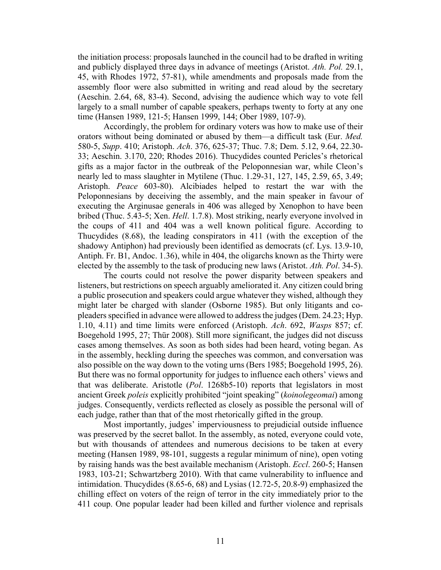the initiation process: proposals launched in the council had to be drafted in writing and publicly displayed three days in advance of meetings (Aristot. *Ath. Pol.* 29.1, 45, with Rhodes 1972, 57-81), while amendments and proposals made from the assembly floor were also submitted in writing and read aloud by the secretary (Aeschin. 2.64, 68, 83-4). Second, advising the audience which way to vote fell largely to a small number of capable speakers, perhaps twenty to forty at any one time (Hansen 1989, 121-5; Hansen 1999, 144; Ober 1989, 107-9).

Accordingly, the problem for ordinary voters was how to make use of their orators without being dominated or abused by them—a difficult task (Eur. *Med.* 580-5, *Supp*. 410; Aristoph. *Ach*. 376, 625-37; Thuc. 7.8; Dem. 5.12, 9.64, 22.30- 33; Aeschin. 3.170, 220; Rhodes 2016). Thucydides counted Pericles's rhetorical gifts as a major factor in the outbreak of the Peloponnesian war, while Cleon's nearly led to mass slaughter in Mytilene (Thuc. 1.29-31, 127, 145, 2.59, 65, 3.49; Aristoph. *Peace* 603-80). Alcibiades helped to restart the war with the Peloponnesians by deceiving the assembly, and the main speaker in favour of executing the Arginusae generals in 406 was alleged by Xenophon to have been bribed (Thuc. 5.43-5; Xen. *Hell*. 1.7.8). Most striking, nearly everyone involved in the coups of 411 and 404 was a well known political figure. According to Thucydides (8.68), the leading conspirators in 411 (with the exception of the shadowy Antiphon) had previously been identified as democrats (cf. Lys. 13.9-10, Antiph. Fr. B1, Andoc. 1.36), while in 404, the oligarchs known as the Thirty were elected by the assembly to the task of producing new laws (Aristot. *Ath. Pol*. 34-5).

The courts could not resolve the power disparity between speakers and listeners, but restrictions on speech arguably ameliorated it. Any citizen could bring a public prosecution and speakers could argue whatever they wished, although they might later be charged with slander (Osborne 1985). But only litigants and copleaders specified in advance were allowed to address the judges (Dem. 24.23; Hyp. 1.10, 4.11) and time limits were enforced (Aristoph. *Ach*. 692, *Wasps* 857; cf. Boegehold 1995, 27; Thür 2008). Still more significant, the judges did not discuss cases among themselves. As soon as both sides had been heard, voting began. As in the assembly, heckling during the speeches was common, and conversation was also possible on the way down to the voting urns (Bers 1985; Boegehold 1995, 26). But there was no formal opportunity for judges to influence each others' views and that was deliberate. Aristotle (*Pol*. 1268b5-10) reports that legislators in most ancient Greek *poleis* explicitly prohibited "joint speaking" (*koinolegeomai*) among judges. Consequently, verdicts reflected as closely as possible the personal will of each judge, rather than that of the most rhetorically gifted in the group.

Most importantly, judges' imperviousness to prejudicial outside influence was preserved by the secret ballot. In the assembly, as noted, everyone could vote, but with thousands of attendees and numerous decisions to be taken at every meeting (Hansen 1989, 98-101, suggests a regular minimum of nine), open voting by raising hands was the best available mechanism (Aristoph. *Eccl*. 260-5; Hansen 1983, 103-21; Schwartzberg 2010). With that came vulnerability to influence and intimidation. Thucydides (8.65-6, 68) and Lysias (12.72-5, 20.8-9) emphasized the chilling effect on voters of the reign of terror in the city immediately prior to the 411 coup. One popular leader had been killed and further violence and reprisals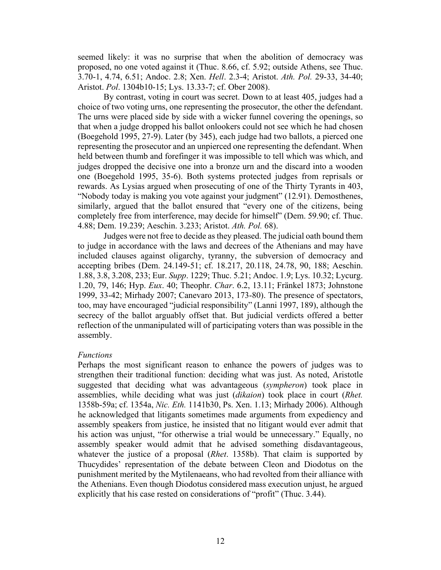seemed likely: it was no surprise that when the abolition of democracy was proposed, no one voted against it (Thuc. 8.66, cf. 5.92; outside Athens, see Thuc. 3.70-1, 4.74, 6.51; Andoc. 2.8; Xen. *Hell*. 2.3-4; Aristot. *Ath. Pol.* 29-33, 34-40; Aristot. *Pol*. 1304b10-15; Lys. 13.33-7; cf. Ober 2008).

By contrast, voting in court was secret. Down to at least 405, judges had a choice of two voting urns, one representing the prosecutor, the other the defendant. The urns were placed side by side with a wicker funnel covering the openings, so that when a judge dropped his ballot onlookers could not see which he had chosen (Boegehold 1995, 27-9). Later (by 345), each judge had two ballots, a pierced one representing the prosecutor and an unpierced one representing the defendant. When held between thumb and forefinger it was impossible to tell which was which, and judges dropped the decisive one into a bronze urn and the discard into a wooden one (Boegehold 1995, 35-6). Both systems protected judges from reprisals or rewards. As Lysias argued when prosecuting of one of the Thirty Tyrants in 403, "Nobody today is making you vote against your judgment" (12.91). Demosthenes, similarly, argued that the ballot ensured that "every one of the citizens, being completely free from interference, may decide for himself" (Dem. 59.90; cf. Thuc. 4.88; Dem. 19.239; Aeschin. 3.233; Aristot. *Ath. Pol.* 68).

Judges were not free to decide as they pleased. The judicial oath bound them to judge in accordance with the laws and decrees of the Athenians and may have included clauses against oligarchy, tyranny, the subversion of democracy and accepting bribes (Dem. 24.149-51; cf. 18.217, 20.118, 24.78, 90, 188; Aeschin. 1.88, 3.8, 3.208, 233; Eur. *Supp*. 1229; Thuc. 5.21; Andoc. 1.9; Lys. 10.32; Lycurg. 1.20, 79, 146; Hyp. *Eux*. 40; Theophr. *Char*. 6.2, 13.11; Fränkel 1873; Johnstone 1999, 33-42; Mirhady 2007; Canevaro 2013, 173-80). The presence of spectators, too, may have encouraged "judicial responsibility" (Lanni 1997, 189), although the secrecy of the ballot arguably offset that. But judicial verdicts offered a better reflection of the unmanipulated will of participating voters than was possible in the assembly.

#### *Functions*

Perhaps the most significant reason to enhance the powers of judges was to strengthen their traditional function: deciding what was just. As noted, Aristotle suggested that deciding what was advantageous (*sympheron*) took place in assemblies, while deciding what was just (*dikaion*) took place in court (*Rhet.* 1358b-59a; cf. 1354a, *Nic. Eth.* 1141b30, Ps. Xen. 1.13; Mirhady 2006). Although he acknowledged that litigants sometimes made arguments from expediency and assembly speakers from justice, he insisted that no litigant would ever admit that his action was unjust, "for otherwise a trial would be unnecessary." Equally, no assembly speaker would admit that he advised something disdavantageous, whatever the justice of a proposal (*Rhet*. 1358b). That claim is supported by Thucydides' representation of the debate between Cleon and Diodotus on the punishment merited by the Mytilenaeans, who had revolted from their alliance with the Athenians. Even though Diodotus considered mass execution unjust, he argued explicitly that his case rested on considerations of "profit" (Thuc. 3.44).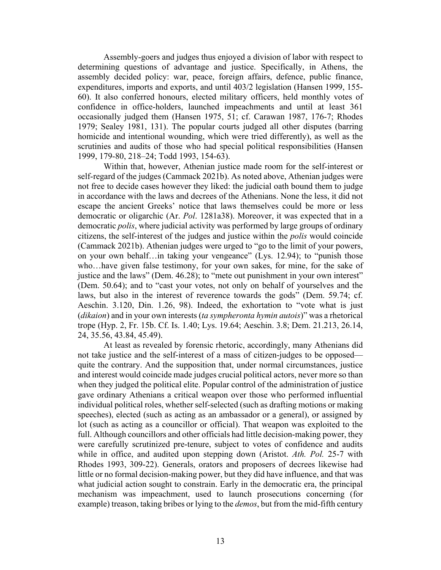Assembly-goers and judges thus enjoyed a division of labor with respect to determining questions of advantage and justice. Specifically, in Athens, the assembly decided policy: war, peace, foreign affairs, defence, public finance, expenditures, imports and exports, and until 403/2 legislation (Hansen 1999, 155- 60). It also conferred honours, elected military officers, held monthly votes of confidence in office-holders, launched impeachments and until at least 361 occasionally judged them (Hansen 1975, 51; cf. Carawan 1987, 176-7; Rhodes 1979; Sealey 1981, 131). The popular courts judged all other disputes (barring homicide and intentional wounding, which were tried differently), as well as the scrutinies and audits of those who had special political responsibilities (Hansen 1999, 179-80, 218–24; Todd 1993, 154-63).

Within that, however, Athenian justice made room for the self-interest or self-regard of the judges (Cammack 2021b). As noted above, Athenian judges were not free to decide cases however they liked: the judicial oath bound them to judge in accordance with the laws and decrees of the Athenians. None the less, it did not escape the ancient Greeks' notice that laws themselves could be more or less democratic or oligarchic (Ar. *Pol*. 1281a38). Moreover, it was expected that in a democratic *polis*, where judicial activity was performed by large groups of ordinary citizens, the self-interest of the judges and justice within the *polis* would coincide (Cammack 2021b). Athenian judges were urged to "go to the limit of your powers, on your own behalf…in taking your vengeance" (Lys. 12.94); to "punish those who…have given false testimony, for your own sakes, for mine, for the sake of justice and the laws" (Dem. 46.28); to "mete out punishment in your own interest" (Dem. 50.64); and to "cast your votes, not only on behalf of yourselves and the laws, but also in the interest of reverence towards the gods" (Dem. 59.74; cf. Aeschin. 3.120, Din. 1.26, 98). Indeed, the exhortation to "vote what is just (*dikaion*) and in your own interests (*ta sympheronta hymin autois*)" was a rhetorical trope (Hyp. 2, Fr. 15b. Cf. Is. 1.40; Lys. 19.64; Aeschin. 3.8; Dem. 21.213, 26.14, 24, 35.56, 43.84, 45.49).

At least as revealed by forensic rhetoric, accordingly, many Athenians did not take justice and the self-interest of a mass of citizen-judges to be opposed quite the contrary. And the supposition that, under normal circumstances, justice and interest would coincide made judges crucial political actors, never more so than when they judged the political elite. Popular control of the administration of justice gave ordinary Athenians a critical weapon over those who performed influential individual political roles, whether self-selected (such as drafting motions or making speeches), elected (such as acting as an ambassador or a general), or assigned by lot (such as acting as a councillor or official). That weapon was exploited to the full. Although councillors and other officials had little decision-making power, they were carefully scrutinized pre-tenure, subject to votes of confidence and audits while in office, and audited upon stepping down (Aristot. *Ath. Pol.* 25-7 with Rhodes 1993, 309-22). Generals, orators and proposers of decrees likewise had little or no formal decision-making power, but they did have influence, and that was what judicial action sought to constrain. Early in the democratic era, the principal mechanism was impeachment, used to launch prosecutions concerning (for example) treason, taking bribes or lying to the *demos*, but from the mid-fifth century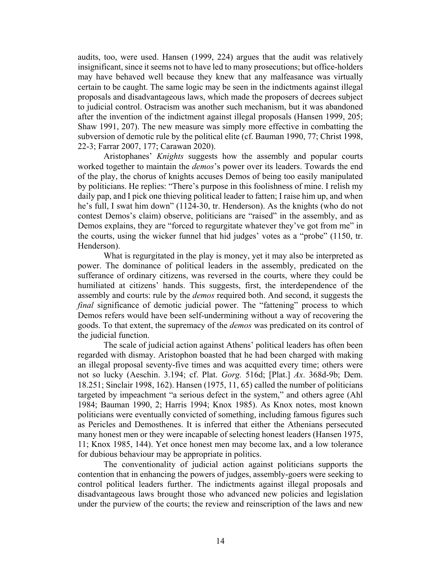audits, too, were used. Hansen (1999, 224) argues that the audit was relatively insignificant, since it seems not to have led to many prosecutions; but office-holders may have behaved well because they knew that any malfeasance was virtually certain to be caught. The same logic may be seen in the indictments against illegal proposals and disadvantageous laws, which made the proposers of decrees subject to judicial control. Ostracism was another such mechanism, but it was abandoned after the invention of the indictment against illegal proposals (Hansen 1999, 205; Shaw 1991, 207). The new measure was simply more effective in combatting the subversion of demotic rule by the political elite (cf. Bauman 1990, 77; Christ 1998, 22-3; Farrar 2007, 177; Carawan 2020).

Aristophanes' *Knights* suggests how the assembly and popular courts worked together to maintain the *demos*'s power over its leaders. Towards the end of the play, the chorus of knights accuses Demos of being too easily manipulated by politicians. He replies: "There's purpose in this foolishness of mine. I relish my daily pap, and I pick one thieving political leader to fatten; I raise him up, and when he's full, I swat him down" (1124-30, tr. Henderson). As the knights (who do not contest Demos's claim) observe, politicians are "raised" in the assembly, and as Demos explains, they are "forced to regurgitate whatever they've got from me" in the courts, using the wicker funnel that hid judges' votes as a "probe" (1150, tr. Henderson).

What is regurgitated in the play is money, yet it may also be interpreted as power. The dominance of political leaders in the assembly, predicated on the sufferance of ordinary citizens, was reversed in the courts, where they could be humiliated at citizens' hands. This suggests, first, the interdependence of the assembly and courts: rule by the *demos* required both. And second, it suggests the *final* significance of demotic judicial power. The "fattening" process to which Demos refers would have been self-undermining without a way of recovering the goods. To that extent, the supremacy of the *demos* was predicated on its control of the judicial function.

The scale of judicial action against Athens' political leaders has often been regarded with dismay. Aristophon boasted that he had been charged with making an illegal proposal seventy-five times and was acquitted every time; others were not so lucky (Aeschin. 3.194; cf. Plat. *Gorg.* 516d; [Plat.] *Ax*. 368d-9b; Dem. 18.251; Sinclair 1998, 162). Hansen (1975, 11, 65) called the number of politicians targeted by impeachment "a serious defect in the system," and others agree (Ahl 1984; Bauman 1990, 2; Harris 1994; Knox 1985). As Knox notes, most known politicians were eventually convicted of something, including famous figures such as Pericles and Demosthenes. It is inferred that either the Athenians persecuted many honest men or they were incapable of selecting honest leaders (Hansen 1975, 11; Knox 1985, 144). Yet once honest men may become lax, and a low tolerance for dubious behaviour may be appropriate in politics.

The conventionality of judicial action against politicians supports the contention that in enhancing the powers of judges, assembly-goers were seeking to control political leaders further. The indictments against illegal proposals and disadvantageous laws brought those who advanced new policies and legislation under the purview of the courts; the review and reinscription of the laws and new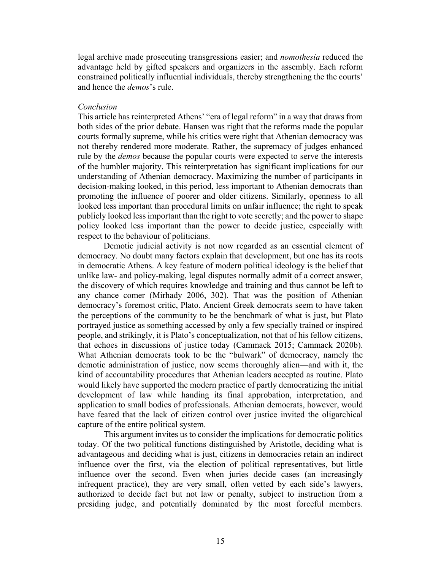legal archive made prosecuting transgressions easier; and *nomothesia* reduced the advantage held by gifted speakers and organizers in the assembly. Each reform constrained politically influential individuals, thereby strengthening the the courts' and hence the *demos*'s rule.

### *Conclusion*

This article has reinterpreted Athens' "era of legal reform" in a way that draws from both sides of the prior debate. Hansen was right that the reforms made the popular courts formally supreme, while his critics were right that Athenian democracy was not thereby rendered more moderate. Rather, the supremacy of judges enhanced rule by the *demos* because the popular courts were expected to serve the interests of the humbler majority. This reinterpretation has significant implications for our understanding of Athenian democracy. Maximizing the number of participants in decision-making looked, in this period, less important to Athenian democrats than promoting the influence of poorer and older citizens. Similarly, openness to all looked less important than procedural limits on unfair influence; the right to speak publicly looked lessimportant than the right to vote secretly; and the power to shape policy looked less important than the power to decide justice, especially with respect to the behaviour of politicians.

Demotic judicial activity is not now regarded as an essential element of democracy. No doubt many factors explain that development, but one has its roots in democratic Athens. A key feature of modern political ideology is the belief that unlike law- and policy-making, legal disputes normally admit of a correct answer, the discovery of which requires knowledge and training and thus cannot be left to any chance comer (Mirhady 2006, 302). That was the position of Athenian democracy's foremost critic, Plato. Ancient Greek democrats seem to have taken the perceptions of the community to be the benchmark of what is just, but Plato portrayed justice as something accessed by only a few specially trained or inspired people, and strikingly, it is Plato's conceptualization, not that of his fellow citizens, that echoes in discussions of justice today (Cammack 2015; Cammack 2020b). What Athenian democrats took to be the "bulwark" of democracy, namely the demotic administration of justice, now seems thoroughly alien—and with it, the kind of accountability procedures that Athenian leaders accepted as routine. Plato would likely have supported the modern practice of partly democratizing the initial development of law while handing its final approbation, interpretation, and application to small bodies of professionals. Athenian democrats, however, would have feared that the lack of citizen control over justice invited the oligarchical capture of the entire political system.

This argument invites us to consider the implications for democratic politics today. Of the two political functions distinguished by Aristotle, deciding what is advantageous and deciding what is just, citizens in democracies retain an indirect influence over the first, via the election of political representatives, but little influence over the second. Even when juries decide cases (an increasingly infrequent practice), they are very small, often vetted by each side's lawyers, authorized to decide fact but not law or penalty, subject to instruction from a presiding judge, and potentially dominated by the most forceful members.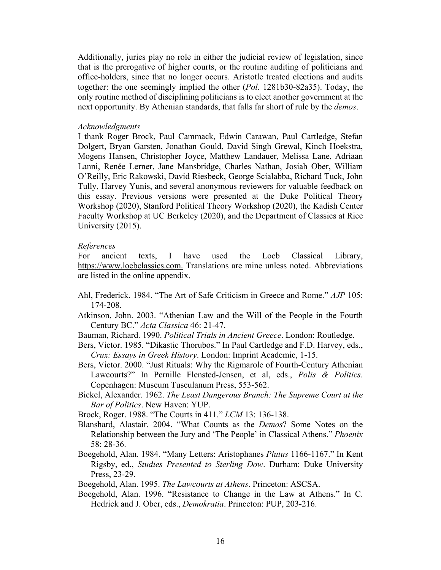Additionally, juries play no role in either the judicial review of legislation, since that is the prerogative of higher courts, or the routine auditing of politicians and office-holders, since that no longer occurs. Aristotle treated elections and audits together: the one seemingly implied the other (*Pol*. 1281b30-82a35). Today, the only routine method of disciplining politicians is to elect another government at the next opportunity. By Athenian standards, that falls far short of rule by the *demos*.

#### *Acknowledgments*

I thank Roger Brock, Paul Cammack, Edwin Carawan, Paul Cartledge, Stefan Dolgert, Bryan Garsten, Jonathan Gould, David Singh Grewal, Kinch Hoekstra, Mogens Hansen, Christopher Joyce, Matthew Landauer, Melissa Lane, Adriaan Lanni, Renée Lerner, Jane Mansbridge, Charles Nathan, Josiah Ober, William O'Reilly, Eric Rakowski, David Riesbeck, George Scialabba, Richard Tuck, John Tully, Harvey Yunis, and several anonymous reviewers for valuable feedback on this essay. Previous versions were presented at the Duke Political Theory Workshop (2020), Stanford Political Theory Workshop (2020), the Kadish Center Faculty Workshop at UC Berkeley (2020), and the Department of Classics at Rice University (2015).

#### *References*

For ancient texts, I have used the Loeb Classical Library, [https://www.](https://www/)loebclassics.com. Translations are mine unless noted. Abbreviations are listed in the online appendix.

- Ahl, Frederick. 1984. "The Art of Safe Criticism in Greece and Rome." *AJP* 105: 174-208.
- Atkinson, John. 2003. "Athenian Law and the Will of the People in the Fourth Century BC." *Acta Classica* 46: 21-47.
- Bauman, Richard. 1990. *Political Trials in Ancient Greece*. London: Routledge.
- Bers, Victor. 1985. "Dikastic Thorubos." In Paul Cartledge and F.D. Harvey, eds., *Crux: Essays in Greek History*. London: Imprint Academic, 1-15.
- Bers, Victor. 2000. "Just Rituals: Why the Rigmarole of Fourth-Century Athenian Lawcourts?" In Pernille Flensted-Jensen, et al, eds., *Polis & Politics*. Copenhagen: Museum Tusculanum Press, 553-562.
- Bickel, Alexander. 1962. *The Least Dangerous Branch: The Supreme Court at the Bar of Politics*. New Haven: YUP.
- Brock, Roger. 1988. "The Courts in 411." *LCM* 13: 136-138.
- Blanshard, Alastair. 2004. "What Counts as the *Demos*? Some Notes on the Relationship between the Jury and 'The People' in Classical Athens." *Phoenix* 58: 28-36.
- Boegehold, Alan. 1984. "Many Letters: Aristophanes *Plutus* 1166-1167." In Kent Rigsby, ed., *Studies Presented to Sterling Dow*. Durham: Duke University Press, 23-29.

Boegehold, Alan. 1995. *The Lawcourts at Athens*. Princeton: ASCSA.

Boegehold, Alan. 1996. "Resistance to Change in the Law at Athens." In C. Hedrick and J. Ober, eds., *Demokratia*. Princeton: PUP, 203-216.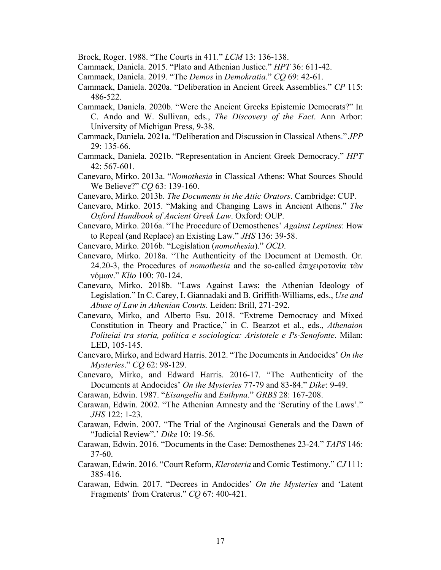Brock, Roger. 1988. "The Courts in 411." *LCM* 13: 136-138.

- Cammack, Daniela. 2015. "Plato and Athenian Justice." *HPT* 36: 611-42.
- Cammack, Daniela. 2019. "The *Demos* in *Demokratia*." *CQ* 69: 42-61.
- Cammack, Daniela. 2020a. "Deliberation in Ancient Greek Assemblies." *CP* 115: 486-522.
- Cammack, Daniela. 2020b. "Were the Ancient Greeks Epistemic Democrats?" In C. Ando and W. Sullivan, eds., *The Discovery of the Fact*. Ann Arbor: University of Michigan Press, 9-38.
- Cammack, Daniela. 2021a. "Deliberation and Discussion in Classical Athens." *JPP* 29: 135-66.
- Cammack, Daniela. 2021b. "Representation in Ancient Greek Democracy." *HPT* 42: 567-601.
- Canevaro, Mirko. 2013a. "*Nomothesia* in Classical Athens: What Sources Should We Believe?" *CQ* 63: 139-160.
- Canevaro, Mirko. 2013b. *The Documents in the Attic Orators*. Cambridge: CUP.
- Canevaro, Mirko. 2015. "Making and Changing Laws in Ancient Athens." *The Oxford Handbook of Ancient Greek Law*. Oxford: OUP.
- Canevaro, Mirko. 2016a. "The Procedure of Demosthenes' *Against Leptines*: How to Repeal (and Replace) an Existing Law." *JHS* 136: 39-58.
- Canevaro, Mirko. 2016b. "Legislation (*nomothesia*)." *OCD*.
- Canevaro, Mirko. 2018a. "The Authenticity of the Document at Demosth. Or. 24.20-3, the Procedures of *nomothesia* and the so-called ἐπιχɛιροτονία τῶν νόμων." *Klio* 100: 70-124.
- Canevaro, Mirko. 2018b. "Laws Against Laws: the Athenian Ideology of Legislation." In C. Carey, I. Giannadaki and B. Griffith-Williams, eds., *Use and Abuse of Law in Athenian Courts*. Leiden: Brill, 271-292.
- Canevaro, Mirko, and Alberto Esu. 2018. "Extreme Democracy and Mixed Constitution in Theory and Practice," in C. Bearzot et al., eds., *Athenaion Politeiai tra storia, politica e sociologica: Aristotele e Ps-Senofonte*. Milan: LED, 105-145.
- Canevaro, Mirko, and Edward Harris. 2012. "The Documents in Andocides' *On the Mysteries*." *CQ* 62: 98-129.
- Canevaro, Mirko, and Edward Harris. 2016-17. "The Authenticity of the Documents at Andocides' *On the Mysteries* 77-79 and 83-84." *Dike*: 9-49.
- Carawan, Edwin. 1987. "*Eisangelia* and *Euthyna*." *GRBS* 28: 167-208.
- Carawan, Edwin. 2002. "The Athenian Amnesty and the 'Scrutiny of the Laws'." *JHS* 122: 1-23.
- Carawan, Edwin. 2007. "The Trial of the Arginousai Generals and the Dawn of "Judicial Review".' *Dike* 10: 19-56.
- Carawan, Edwin. 2016. "Documents in the Case: Demosthenes 23-24." *TAPS* 146: 37-60.
- Carawan, Edwin. 2016. "Court Reform, *Kleroteria* and Comic Testimony." *CJ* 111: 385-416.
- Carawan, Edwin. 2017. "Decrees in Andocides' *On the Mysteries* and 'Latent Fragments' from Craterus." *CQ* 67: 400-421.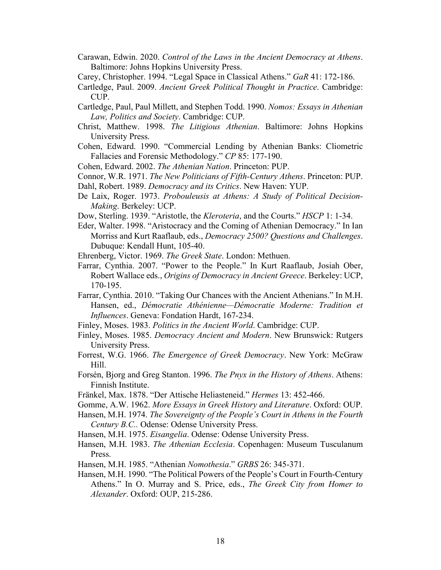- Carawan, Edwin. 2020. *Control of the Laws in the Ancient Democracy at Athens*. Baltimore: Johns Hopkins University Press.
- Carey, Christopher. 1994. "Legal Space in Classical Athens." *GaR* 41: 172-186.
- Cartledge, Paul. 2009. *Ancient Greek Political Thought in Practice*. Cambridge: CUP.
- Cartledge, Paul, Paul Millett, and Stephen Todd. 1990. *Nomos: Essays in Athenian Law, Politics and Society*. Cambridge: CUP.
- Christ, Matthew. 1998. *The Litigious Athenian*. Baltimore: Johns Hopkins University Press.
- Cohen, Edward. 1990. "Commercial Lending by Athenian Banks: Cliometric Fallacies and Forensic Methodology." *CP* 85: 177-190.
- Cohen, Edward. 2002. *The Athenian Nation*. Princeton: PUP.
- Connor, W.R. 1971. *The New Politicians of Fifth-Century Athens*. Princeton: PUP.
- Dahl, Robert. 1989. *Democracy and its Critics*. New Haven: YUP.
- De Laix, Roger. 1973. *Probouleusis at Athens: A Study of Political Decision-Making*. Berkeley: UCP.
- Dow, Sterling. 1939. "Aristotle, the *Kleroteria*, and the Courts." *HSCP* 1: 1-34.
- Eder, Walter. 1998. "Aristocracy and the Coming of Athenian Democracy." In Ian Morriss and Kurt Raaflaub, eds., *Democracy 2500? Questions and Challenges*. Dubuque: Kendall Hunt, 105-40.
- Ehrenberg, Victor. 1969. *The Greek State*. London: Methuen.
- Farrar, Cynthia. 2007. "Power to the People." In Kurt Raaflaub, Josiah Ober, Robert Wallace eds., *Origins of Democracy in Ancient Greece*. Berkeley: UCP, 170-195.
- Farrar, Cynthia. 2010. "Taking Our Chances with the Ancient Athenians." In M.H. Hansen, ed., *Démocratie Athénienne—Démocratie Moderne: Tradition et Influences*. Geneva: Fondation Hardt, 167-234.
- Finley, Moses. 1983. *Politics in the Ancient World*. Cambridge: CUP.
- Finley, Moses. 1985. *Democracy Ancient and Modern*. New Brunswick: Rutgers University Press.
- Forrest, W.G. 1966. *The Emergence of Greek Democracy*. New York: McGraw Hill.
- Forsén, Bjorg and Greg Stanton. 1996. *The Pnyx in the History of Athens*. Athens: Finnish Institute.
- Fränkel, Max. 1878. "Der Attische Heliasteneid." *Hermes* 13: 452-466.
- Gomme, A.W. 1962. *More Essays in Greek History and Literature*. Oxford: OUP.
- Hansen, M.H. 1974. *The Sovereignty of the People's Court in Athens in the Fourth Century B.C..* Odense: Odense University Press.

Hansen, M.H. 1975. *Eisangelia*. Odense: Odense University Press.

- Hansen, M.H. 1983. *The Athenian Ecclesia*. Copenhagen: Museum Tusculanum Press.
- Hansen, M.H. 1985. "Athenian *Nomothesia*." *GRBS* 26: 345-371.
- Hansen, M.H. 1990. "The Political Powers of the People's Court in Fourth-Century Athens." In O. Murray and S. Price, eds., *The Greek City from Homer to Alexander*. Oxford: OUP, 215-286.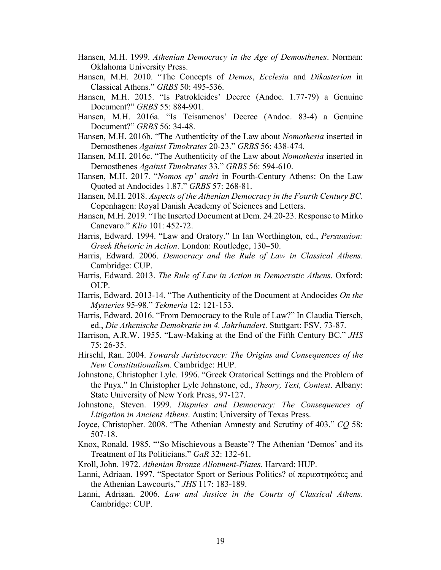- Hansen, M.H. 1999. *Athenian Democracy in the Age of Demosthenes*. Norman: Oklahoma University Press.
- Hansen, M.H. 2010. "The Concepts of *Demos*, *Ecclesia* and *Dikasterion* in Classical Athens." *GRBS* 50: 495-536.
- Hansen, M.H. 2015. "Is Patrokleides' Decree (Andoc. 1.77-79) a Genuine Document?" *GRBS* 55: 884-901.
- Hansen, M.H. 2016a. "Is Teisamenos' Decree (Andoc. 83-4) a Genuine Document?" *GRBS* 56: 34-48.
- Hansen, M.H. 2016b. "The Authenticity of the Law about *Nomothesia* inserted in Demosthenes *Against Timokrates* 20-23." *GRBS* 56: 438-474.
- Hansen, M.H. 2016c. "The Authenticity of the Law about *Nomothesia* inserted in Demosthenes *Against Timokrates* 33." *GRBS* 56: 594-610.
- Hansen, M.H. 2017. "*Nomos ep' andri* in Fourth-Century Athens: On the Law Quoted at Andocides 1.87." *GRBS* 57: 268-81.
- Hansen, M.H. 2018. *Aspects of the Athenian Democracy in the Fourth Century BC*. Copenhagen: Royal Danish Academy of Sciences and Letters.
- Hansen, M.H. 2019. "The Inserted Document at Dem. 24.20-23. Response to Mirko Canevaro." *Klio* 101: 452-72.
- Harris, Edward. 1994. "Law and Oratory." In Ian Worthington, ed., *Persuasion: Greek Rhetoric in Action*. London: Routledge, 130–50.
- Harris, Edward. 2006. *Democracy and the Rule of Law in Classical Athens*. Cambridge: CUP.
- Harris, Edward. 2013. *The Rule of Law in Action in Democratic Athens*. Oxford: OUP.
- Harris, Edward. 2013-14. "The Authenticity of the Document at Andocides *On the Mysteries* 95-98." *Tekmeria* 12: 121-153.
- Harris, Edward. 2016. "From Democracy to the Rule of Law?" In Claudia Tiersch, ed., *Die Athenische Demokratie im 4. Jahrhundert*. Stuttgart: FSV, 73-87.
- Harrison, A.R.W. 1955. "Law-Making at the End of the Fifth Century BC." *JHS* 75: 26-35.
- Hirschl, Ran. 2004. *Towards Juristocracy: The Origins and Consequences of the New Constitutionalism*. Cambridge: HUP.
- Johnstone, Christopher Lyle. 1996. "Greek Oratorical Settings and the Problem of the Pnyx." In Christopher Lyle Johnstone, ed., *Theory, Text, Context*. Albany: State University of New York Press, 97-127.
- Johnstone, Steven. 1999. *Disputes and Democracy: The Consequences of Litigation in Ancient Athens*. Austin: University of Texas Press.
- Joyce, Christopher. 2008. "The Athenian Amnesty and Scrutiny of 403." *CQ* 58: 507-18.
- Knox, Ronald. 1985. "'So Mischievous a Beaste'? The Athenian 'Demos' and its Treatment of Its Politicians." *GaR* 32: 132-61.
- Kroll, John. 1972. *Athenian Bronze Allotment-Plates*. Harvard: HUP.
- Lanni, Adriaan. 1997. "Spectator Sport or Serious Politics? οί περιεστηκότες and the Athenian Lawcourts," *JHS* 117: 183-189.
- Lanni, Adriaan. 2006. *Law and Justice in the Courts of Classical Athens*. Cambridge: CUP.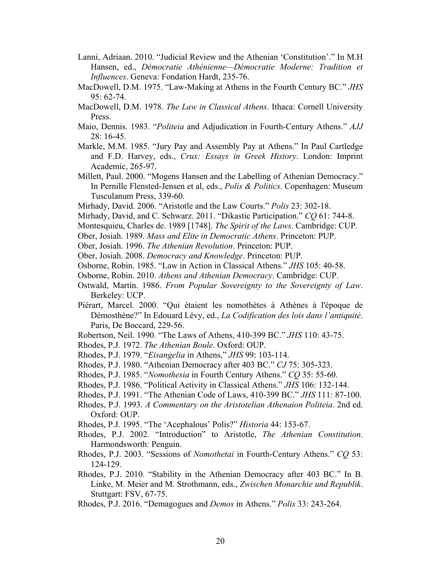- Lanni, Adriaan. 2010. "Judicial Review and the Athenian 'Constitution'." In M.H Hansen, ed., *Démocratie Athénienne—Démocratie Moderne: Tradition et Influences*. Geneva: Fondation Hardt, 235-76.
- MacDowell, D.M. 1975. "Law-Making at Athens in the Fourth Century BC." *JHS* 95: 62-74.
- MacDowell, D.M. 1978. *The Law in Classical Athens*. Ithaca: Cornell University Press.
- Maio, Dennis. 1983. "*Politeia* and Adjudication in Fourth-Century Athens." *AJJ* 28: 16-45.
- Markle, M.M. 1985. "Jury Pay and Assembly Pay at Athens." In Paul Cartledge and F.D. Harvey, eds., *Crux: Essays in Greek History*. London: Imprint Academic, 265-97.
- Millett, Paul. 2000. "Mogens Hansen and the Labelling of Athenian Democracy." In Pernille Flensted-Jensen et al, eds., *Polis & Politics*. Copenhagen: Museum Tusculanum Press, 339-60.
- Mirhady, David. 2006. "Aristotle and the Law Courts." *Polis* 23: 302-18.
- Mirhady, David, and C. Schwarz. 2011. "Dikastic Participation." *CQ* 61: 744-8.
- Montesquieu, Charles de. 1989 [1748]. *The Spirit of the Laws*. Cambridge: CUP.
- Ober, Josiah. 1989. *Mass and Elite in Democratic Athens*. Princeton: PUP.
- Ober, Josiah. 1996. *The Athenian Revolution*. Princeton: PUP.
- Ober, Josiah. 2008. *Democracy and Knowledge*. Princeton: PUP.
- Osborne, Robin. 1985. "Law in Action in Classical Athens." *JHS* 105: 40-58.
- Osborne, Robin. 2010. *Athens and Athenian Democracy*. Cambridge: CUP.
- Ostwald, Martin. 1986. *From Popular Sovereignty to the Sovereignty of Law*. Berkeley: UCP.
- Piérart, Marcel. 2000. "Qui étaient les nomothètes à Athènes à l'époque de Démosthène?" In Edouard Lévy, ed., *La Codification des lois dans l'antiquité*. Paris, De Boccard, 229-56.
- Robertson, Neil. 1990. "The Laws of Athens, 410-399 BC." *JHS* 110: 43-75.
- Rhodes, P.J. 1972. *The Athenian Boule*. Oxford: OUP.
- Rhodes, P.J. 1979. "*Eisangelia* in Athens," *JHS* 99: 103-114.
- Rhodes, P.J. 1980. "Athenian Democracy after 403 BC." *CJ* 75: 305-323.
- Rhodes, P.J. 1985. "*Nomothesia* in Fourth Century Athens." *CQ* 35: 55-60.
- Rhodes, P.J. 1986. "Political Activity in Classical Athens." *JHS* 106: 132-144.
- Rhodes, P.J. 1991. "The Athenian Code of Laws, 410-399 BC." *JHS* 111: 87-100.
- Rhodes, P.J. 1993. *A Commentary on the Aristotelian Athenaion Politeia*. 2nd ed. Oxford: OUP.
- Rhodes, P.J. 1995. "The 'Acephalous' Polis?" *Historia* 44: 153-67.
- Rhodes, P.J. 2002. "Introduction" to Aristotle, *The Athenian Constitution*. Harmondsworth: Penguin.
- Rhodes, P.J. 2003. "Sessions of *Nomothetai* in Fourth-Century Athens." *CQ* 53: 124-129.
- Rhodes, P.J. 2010. "Stability in the Athenian Democracy after 403 BC." In B. Linke, M. Meier and M. Strothmann, eds., *Zwischen Monarchie und Republik*. Stuttgart: FSV, 67-75.
- Rhodes, P.J. 2016. "Demagogues and *Demos* in Athens." *Polis* 33: 243-264.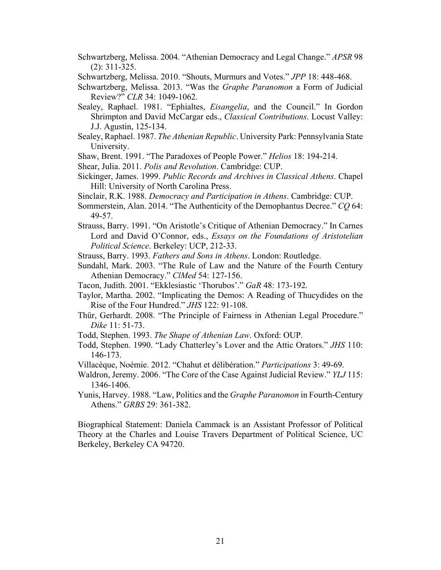Schwartzberg, Melissa. 2004. "Athenian Democracy and Legal Change." *APSR* 98 (2): 311-325.

Schwartzberg, Melissa. 2010. "Shouts, Murmurs and Votes." *JPP* 18: 448-468.

- Schwartzberg, Melissa. 2013. "Was the *Graphe Paranomon* a Form of Judicial Review?" *CLR* 34: 1049-1062.
- Sealey, Raphael. 1981. "Ephialtes, *Eisangelia*, and the Council." In Gordon Shrimpton and David McCargar eds., *Classical Contributions*. Locust Valley: J.J. Agustin, 125-134.
- Sealey, Raphael. 1987. *The Athenian Republic*. University Park: Pennsylvania State University.
- Shaw, Brent. 1991. "The Paradoxes of People Power." *Helios* 18: 194-214.
- Shear, Julia. 2011. *Polis and Revolution*. Cambridge: CUP.
- Sickinger, James. 1999. *Public Records and Archives in Classical Athens*. Chapel Hill: University of North Carolina Press.
- Sinclair, R.K. 1988. *Democracy and Participation in Athens*. Cambridge: CUP.
- Sommerstein, Alan. 2014. "The Authenticity of the Demophantus Decree." *CQ* 64: 49-57.
- Strauss, Barry. 1991. "On Aristotle's Critique of Athenian Democracy." In Carnes Lord and David O'Connor, eds., *Essays on the Foundations of Aristotelian Political Science*. Berkeley: UCP, 212-33.

Strauss, Barry. 1993. *Fathers and Sons in Athens*. London: Routledge.

- Sundahl, Mark. 2003. "The Rule of Law and the Nature of the Fourth Century Athenian Democracy." *ClMed* 54: 127-156.
- Tacon, Judith. 2001. "Ekklesiastic 'Thorubos'." *GaR* 48: 173-192.
- Taylor, Martha. 2002. "Implicating the Demos: A Reading of Thucydides on the Rise of the Four Hundred." *JHS* 122: 91-108.
- Thür, Gerhardt. 2008. "The Principle of Fairness in Athenian Legal Procedure." *Dike* 11: 51-73.
- Todd, Stephen. 1993. *The Shape of Athenian Law*. Oxford: OUP.
- Todd, Stephen. 1990. "Lady Chatterley's Lover and the Attic Orators." *JHS* 110: 146-173.
- Villacèque, Noémie. 2012. "Chahut et délibération." *Participations* 3: 49-69.
- Waldron, Jeremy. 2006. "The Core of the Case Against Judicial Review." *YLJ* 115: 1346-1406.
- Yunis, Harvey. 1988. "Law, Politics and the *Graphe Paranomon* in Fourth-Century Athens." *GRBS* 29: 361-382.

Biographical Statement: Daniela Cammack is an Assistant Professor of Political Theory at the Charles and Louise Travers Department of Political Science, UC Berkeley, Berkeley CA 94720.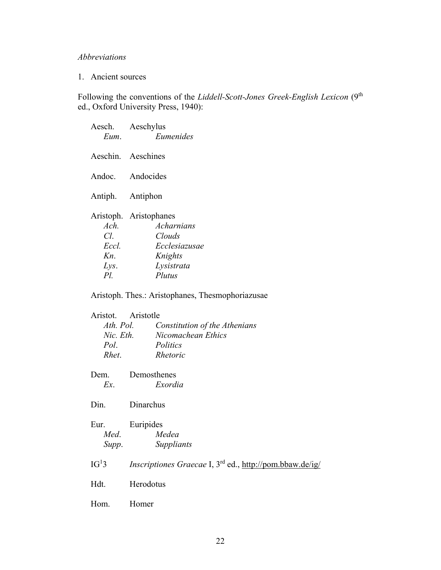# *Abbreviations*

# 1. Ancient sources

Following the conventions of the *Liddell-Scott-Jones Greek-English Lexicon* (9<sup>th</sup> ed., Oxford University Press, 1940):

| Eum.                                       | Aesch. Aeschylus<br>Eumenides                                                                      |
|--------------------------------------------|----------------------------------------------------------------------------------------------------|
|                                            | Aeschin. Aeschines                                                                                 |
| Andoc.                                     | Andocides                                                                                          |
|                                            | Antiph. Antiphon                                                                                   |
| Ach.<br>CI.<br>Eccl.<br>Kn.<br>Lys.<br>Pl. | Aristoph. Aristophanes<br>Acharnians<br>Clouds<br>Ecclesiazusae<br>Knights<br>Lysistrata<br>Plutus |

Aristoph. Thes.: Aristophanes, Thesmophoriazusae

| Aristotle                                                                  |
|----------------------------------------------------------------------------|
| Ath. Pol. Constitution of the Athenians                                    |
| Nic. Eth. Nicomachean Ethics                                               |
| Politics                                                                   |
| Rhetoric                                                                   |
| Demosthenes                                                                |
| Exordia                                                                    |
| Dinarchus                                                                  |
| Euripides                                                                  |
| Medea<br>Med.                                                              |
| Supp.<br>Suppliants                                                        |
| <i>Inscriptiones Graecae I, 3<sup>rd</sup> ed., http://pom.bbaw.de/ig/</i> |
|                                                                            |
| Herodotus                                                                  |
|                                                                            |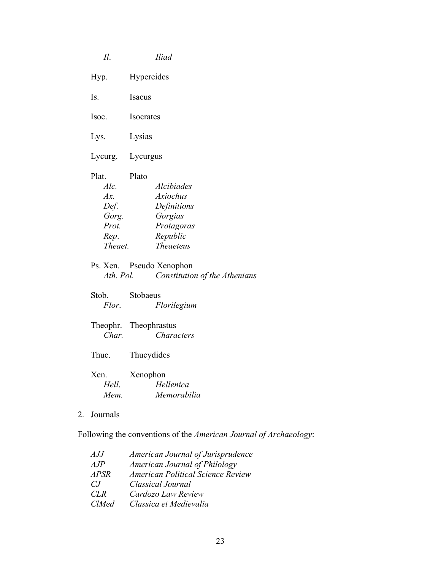|    | $I\!I.$                                                              | <b>Iliad</b>                                                                                                          |
|----|----------------------------------------------------------------------|-----------------------------------------------------------------------------------------------------------------------|
|    | Hyp.                                                                 | Hypereides                                                                                                            |
|    | Is.                                                                  | Isaeus                                                                                                                |
|    | Isoc.                                                                | Isocrates                                                                                                             |
|    | Lys.                                                                 | Lysias                                                                                                                |
|    | Lycurg.                                                              | Lycurgus                                                                                                              |
|    | Plat.<br>Alc.<br>$Ax$ .<br>Def.<br>Gorg.<br>Prot.<br>Rep.<br>Theaet. | Plato<br><b>Alcibiades</b><br><b>Axiochus</b><br>Definitions<br>Gorgias<br>Protagoras<br>Republic<br><b>Theaeteus</b> |
|    | Ath. Pol.                                                            | Ps. Xen. Pseudo Xenophon<br>Constitution of the Athenians                                                             |
|    | Stob.<br>Flor.                                                       | Stobaeus<br>Florilegium                                                                                               |
|    | Char.                                                                | Theophr. Theophrastus<br>Characters                                                                                   |
|    | Thuc.                                                                | Thucydides                                                                                                            |
|    | Xen.<br>Hell.<br>Mem.                                                | Xenophon<br>Hellenica<br>Memorabilia                                                                                  |
| 2. | Journals                                                             |                                                                                                                       |

Following the conventions of the *American Journal of Archaeology*:

| AJJ          | American Journal of Jurisprudence |
|--------------|-----------------------------------|
| AJP          | American Journal of Philology     |
| <b>APSR</b>  | American Political Science Review |
| CJ.          | Classical Journal                 |
| CLR          | Cardozo Law Review                |
| <b>ClMed</b> | Classica et Medievalia            |